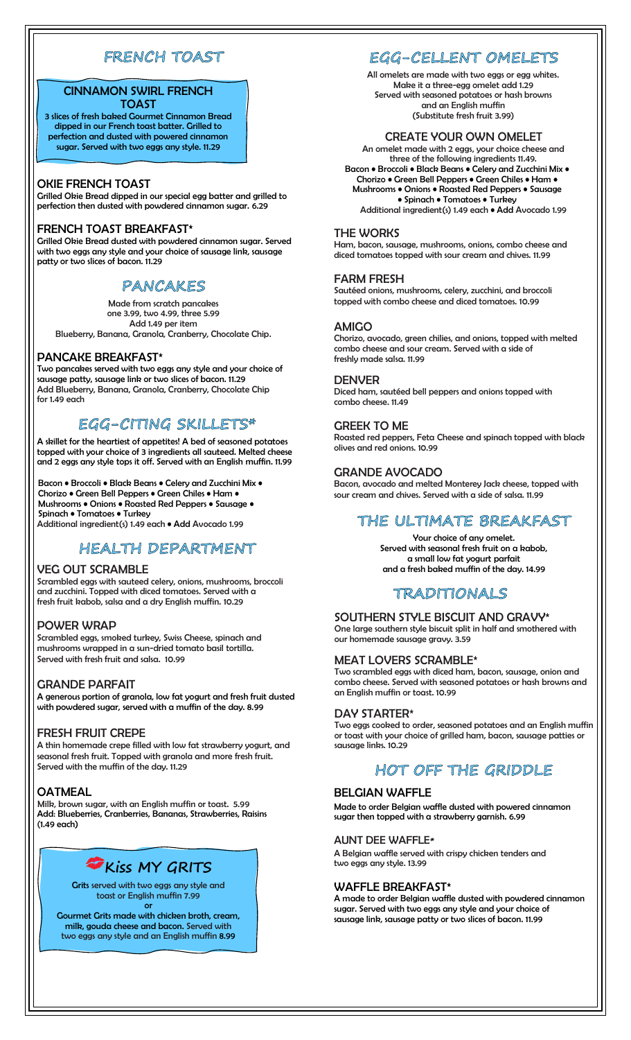# FRENCH TOAST

## CINNAMON SWIRL FRENCH TOAST

3 slices of fresh baked Gourmet Cinnamon Bread dipped in our French toast batter. Grilled to perfection and dusted with powered cinnamon sugar. Served with two eggs any style. 11.29

### OKIE FRENCH TOAST

Grilled Okie Bread dipped in our special egg batter and grilled to perfection then dusted with powdered cinnamon sugar. 6.29

### FRENCH TOAST BREAKFAST\*

Grilled Okie Bread dusted with powdered cinnamon sugar. Served with two eggs any style and your choice of sausage link, sausage patty or two slices of bacon. 11.29

# **PANCAKES**

Made from scratch pancakes one 3.99, two 4.99, three 5.99 Add 1.49 per item Blueberry, Banana, Granola, Cranberry, Chocolate Chip.

### PANCAKE BREAKFAST\*

Two pancakes served with two eggs any style and your choice of sausage patty, sausage link or two slices of bacon. 11.29 Add Blueberry, Banana, Granola, Cranberry, Chocolate Chip for 1.49 each

# EGG-CITING SKILLETS\*

A skillet for the heartiest of appetites! A bed of seasoned potatoes topped with your choice of 3 ingredients all sauteed. Melted cheese and 2 eggs any style tops it off. Served with an English muffin. 11.99

Bacon • Broccoli • Black Beans • Celery and Zucchini Mix • Chorizo • Green Bell Peppers • Green Chiles • Ham • Mushrooms • Onions • Roasted Red Peppers • Sausage • Spinach • Tomatoes • Turkey Additional ingredient(s) 1.49 each • Add Avocado 1.99

# HEALTH DEPARTMENT

### VEG OUT SCRAMBLE

Scrambled eggs with sauteed celery, onions, mushrooms, broccoli and zucchini. Topped with diced tomatoes. Served with a fresh fruit kabob, salsa and a dry English muffin. 10.29

### POWER WRAP

Scrambled eggs, smoked turkey, Swiss Cheese, spinach and mushrooms wrapped in a sun-dried tomato basil tortilla. Served with fresh fruit and salsa. 10.99

#### GRANDE PARFAIT

A generous portion of granola, low fat yogurt and fresh fruit dusted with powdered sugar, served with a muffin of the day. 8.99

### FRESH FRUIT CREPE

A thin homemade crepe filled with low fat strawberry yogurt, and seasonal fresh fruit. Topped with granola and more fresh fruit. Served with the muffin of the day. 11.29

### **OATMEAL**

Milk, brown sugar, with an English muffin or toast. 5.99 Add: Blueberries, Cranberries, Bananas, Strawberries, Raisins (1.49 each)



Grits served with two eggs any style and toast or English muffin 7.99 or

Gourmet Grits made with chicken broth, cream, milk, gouda cheese and bacon. Served with two eggs any style and an English muffin 8.99

# EGG-CELLENT OMELETS

All omelets are made with two eggs or egg whites. Make it a three-egg omelet add 1.29 Served with seasoned potatoes or hash browns and an English muffin (Substitute fresh fruit 3.99)

#### CREATE YOUR OWN OMELET

An omelet made with 2 eggs, your choice cheese and three of the following ingredients 11.49. Bacon • Broccoli • Black Beans • Celery and Zucchini Mix • Chorizo • Green Bell Peppers • Green Chiles • Ham • Mushrooms • Onions • Roasted Red Peppers • Sausage • Spinach • Tomatoes • Turkey Additional ingredient(s) 1.49 each • Add Avocado 1.99

#### THE WORKS

Ham, bacon, sausage, mushrooms, onions, combo cheese and diced tomatoes topped with sour cream and chives. 11.99

#### FARM FRESH

Sautéed onions, mushrooms, celery, zucchini, and broccoli topped with combo cheese and diced tomatoes. 10.99

#### AMIGO

Chorizo, avocado, green chilies, and onions, topped with melted combo cheese and sour cream. Served with a side of freshly made salsa. 11.99

#### DENVER

Diced ham, sautéed bell peppers and onions topped with combo cheese. 11.49

### GREEK TO ME

Roasted red peppers, Feta Cheese and spinach topped with black olives and red onions. 10.99

### GRANDE AVOCADO

Bacon, avocado and melted Monterey Jack cheese, topped with sour cream and chives. Served with a side of salsa. 11.99

# THE ULTIMATE BREAKFAST

Your choice of any omelet. Served with seasonal fresh fruit on a kabob, a small low fat yogurt parfait and a fresh baked muffin of the day. 14.99

# TRADITIONALS

### SOUTHERN STYLE BISCUIT AND GRAVY\*

One large southern style biscuit split in half and smothered with our homemade sausage gravy. 3.59

### MEAT LOVERS SCRAMBLE\*

Two scrambled eggs with diced ham, bacon, sausage, onion and combo cheese. Served with seasoned potatoes or hash browns and an English muffin or toast. 10.99

### DAY STARTER\*

Two eggs cooked to order, seasoned potatoes and an English muffin or toast with your choice of grilled ham, bacon, sausage patties or sausage links. 10.29

# HOT OFF THE GRIDDLE

### BELGIAN WAFFLE

Made to order Belgian waffle dusted with powered cinnamon sugar then topped with a strawberry garnish. 6.99

#### AUNT DEE WAFFLE**\***

A Belgian waffle served with crispy chicken tenders and two eggs any style. 13.99

#### WAFFLE BREAKFAST\*

A made to order Belgian waffle dusted with powdered cinnamon sugar. Served with two eggs any style and your choice of sausage link, sausage patty or two slices of bacon. 11.99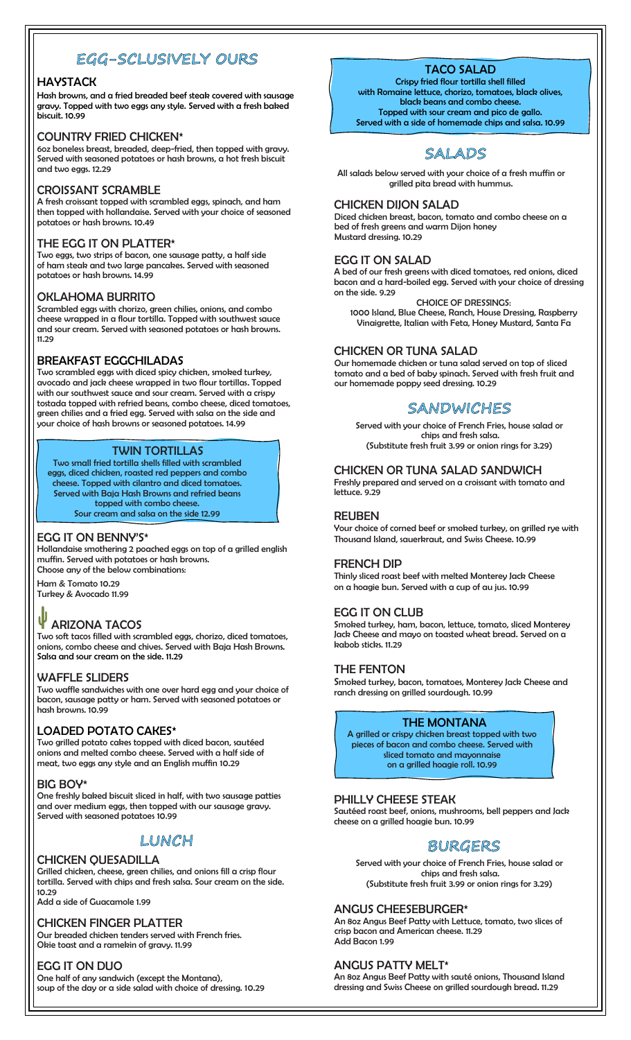# EGG-SCLUSIVELY OURS

### **HAVSTACK**

Hash browns, and a fried breaded beef steak covered with sausage gravy. Topped with two eggs any style. Served with a fresh baked biscuit. 10.99

### COUNTRY FRIED CHICKEN\*

6oz boneless breast, breaded, deep-fried, then topped with gravy. Served with seasoned potatoes or hash browns, a hot fresh biscuit and two eggs. 12.29

### CROISSANT SCRAMBLE

A fresh croissant topped with scrambled eggs, spinach, and ham then topped with hollandaise. Served with your choice of seasoned potatoes or hash browns. 10.49

### THE EGG IT ON PLATTER\*

Two eggs, two strips of bacon, one sausage patty, a half side of ham steak and two large pancakes. Served with seasoned potatoes or hash browns. 14.99

### OKLAHOMA BURRITO

Scrambled eggs with chorizo, green chilies, onions, and combo cheese wrapped in a flour tortilla. Topped with southwest sauce and sour cream. Served with seasoned potatoes or hash browns. 11.29

### BREAKFAST EGGCHILADAS

Two scrambled eggs with diced spicy chicken, smoked turkey, avocado and jack cheese wrapped in two flour tortillas. Topped with our southwest sauce and sour cream. Served with a crispy tostada topped with refried beans, combo cheese, diced tomatoes, green chilies and a fried egg. Served with salsa on the side and your choice of hash browns or seasoned potatoes. 14.99

### TWIN TORTILLAS

Two small fried tortilla shells filled with scrambled eggs, diced chicken, roasted red peppers and combo cheese. Topped with cilantro and diced tomatoes. Served with Baja Hash Browns and refried beans topped with combo cheese. Sour cream and salsa on the side 12.99

### EGG IT ON BENNY'S\*

Hollandaise smothering 2 poached eggs on top of a grilled english muffin. Served with potatoes or hash browns. Choose any of the below combinations:

Ham & Tomato 10.29 Turkey & Avocado 11.99

#### ψ ARIZONA TACOS

Two soft tacos filled with scrambled eggs, chorizo, diced tomatoes, onions, combo cheese and chives. Served with Baja Hash Browns. Salsa and sour cream on the side. 11.29

#### WAFFLE SLIDERS

Two waffle sandwiches with one over hard egg and your choice of bacon, sausage patty or ham. Served with seasoned potatoes or hash browns. 10.99

### LOADED POTATO CAKES\*

Two grilled potato cakes topped with diced bacon, sautéed onions and melted combo cheese. Served with a half side of meat, two eggs any style and an English muffin 10.29

#### BIG BOY\*

One freshly baked biscuit sliced in half, with two sausage patties and over medium eggs, then topped with our sausage gravy. Served with seasoned potatoes 10.99

# LUNCH

### CHICKEN QUESADILLA

Grilled chicken, cheese, green chilies, and onions fill a crisp flour tortilla. Served with chips and fresh salsa. Sour cream on the side. 10.29

Add a side of Guacamole 1.99

#### CHICKEN FINGER PLATTER

Our breaded chicken tenders served with French fries. Okie toast and a ramekin of gravy. 11.99

### EGG IT ON DUO

One half of any sandwich (except the Montana), soup of the day or a side salad with choice of dressing. 10.29

# TACO SALAD

Crispy fried flour tortilla shell filled with Romaine lettuce, chorizo, tomatoes, black olives, black beans and combo cheese. Topped with sour cream and pico de gallo. Served with a side of homemade chips and salsa. 10.99



All salads below served with your choice of a fresh muffin or grilled pita bread with hummus.

#### CHICKEN DIJON SALAD

Diced chicken breast, bacon, tomato and combo cheese on a bed of fresh greens and warm Dijon honey Mustard dressing. 10.29

### EGG IT ON SALAD

A bed of our fresh greens with diced tomatoes, red onions, diced bacon and a hard-boiled egg. Served with your choice of dressing on the side. 9.29

CHOICE OF DRESSINGS: 1000 Island, Blue Cheese, Ranch, House Dressing, Raspberry Vinaigrette, Italian with Feta, Honey Mustard, Santa Fa

### CHICKEN OR TUNA SALAD

Our homemade chicken or tuna salad served on top of sliced tomato and a bed of baby spinach. Served with fresh fruit and our homemade poppy seed dressing. 10.29

# SANDWICHES

Served with your choice of French Fries, house salad or chips and fresh salsa. (Substitute fresh fruit 3.99 or onion rings for 3.29)

### CHICKEN OR TUNA SALAD SANDWICH

Freshly prepared and served on a croissant with tomato and lettuce. 9.29

#### REUBEN

Your choice of corned beef or smoked turkey, on grilled rye with Thousand Island, sauerkraut, and Swiss Cheese. 10.99

#### FRENCH DIP

Thinly sliced roast beef with melted Monterey Jack Cheese on a hoagie bun. Served with a cup of au jus. 10.99

### EGG IT ON CLUB

Smoked turkey, ham, bacon, lettuce, tomato, sliced Monterey Jack Cheese and mayo on toasted wheat bread. Served on a kabob sticks. 11.29

#### THE FENTON

Smoked turkey, bacon, tomatoes, Monterey Jack Cheese and ranch dressing on grilled sourdough. 10.99

### THE MONTANA

A grilled or crispy chicken breast topped with two pieces of bacon and combo cheese. Served with sliced tomato and mayonnaise on a grilled hoagie roll. 10.99

### PHILLY CHEESE STEAK

Sautéed roast beef, onions, mushrooms, bell peppers and Jack cheese on a grilled hoagie bun. 10.99

# **BURGERS**

Served with your choice of French Fries, house salad or chips and fresh salsa. (Substitute fresh fruit 3.99 or onion rings for 3.29)

#### ANGUS CHEESEBURGER\*

An 8oz Angus Beef Patty with Lettuce, tomato, two slices of crisp bacon and American cheese. 11.29 Add Bacon 1.99

### ANGUS PATTY MELT\*

An 8oz Angus Beef Patty with sauté onions, Thousand Island dressing and Swiss Cheese on grilled sourdough bread. 11.29